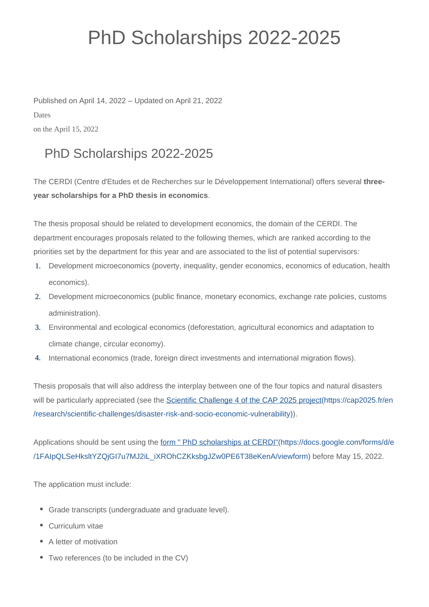## PhD Scholarships 2022-2025

Published on April 14, 2022 – Updated on April 21, 2022 Dates on the April 15, 2022

## PhD Scholarships 2022-2025

The CERDI (Centre d'Etudes et de Recherches sur le Développement International) offers several **threeyear scholarships for a PhD thesis in economics**.

The thesis proposal should be related to development economics, the domain of the CERDI. The department encourages proposals related to the following themes, which are ranked according to the priorities set by the department for this year and are associated to the list of potential supervisors:

- 1. Development microeconomics (poverty, inequality, gender economics, economics of education, health economics).
- 2. Development microeconomics (public finance, monetary economics, exchange rate policies, customs administration).
- 3. Environmental and ecological economics (deforestation, agricultural economics and adaptation to climate change, circular economy).
- 4. International economics (trade, foreign direct investments and international migration flows).

Thesis proposals that will also address the interplay between one of the four topics and natural disasters will be particularly appreciated (see the [Scientific Challenge 4 of the CAP 2025 project\(https://cap2025.fr/en](https://cap2025.fr/en/research/scientific-challenges/disaster-risk-and-socio-economic-vulnerability) [/research/scientific-challenges/disaster-risk-and-socio-economic-vulnerability\)\)](https://cap2025.fr/en/research/scientific-challenges/disaster-risk-and-socio-economic-vulnerability).

Applications should be sent using the [form " PhD scholarships at CERDI"\(https://docs.google.com/forms/d/e](https://docs.google.com/forms/d/e/1FAIpQLSeHksltYZQjGI7u7MJ2iL_iXROhCZKksbgJZw0PE6T38eKenA/viewform) [/1FAIpQLSeHksltYZQjGI7u7MJ2iL\\_iXROhCZKksbgJZw0PE6T38eKenA/viewform\)](https://docs.google.com/forms/d/e/1FAIpQLSeHksltYZQjGI7u7MJ2iL_iXROhCZKksbgJZw0PE6T38eKenA/viewform) before May 15, 2022.

The application must include:

- Grade transcripts (undergraduate and graduate level).
- Curriculum vitae
- A letter of motivation
- Two references (to be included in the CV)